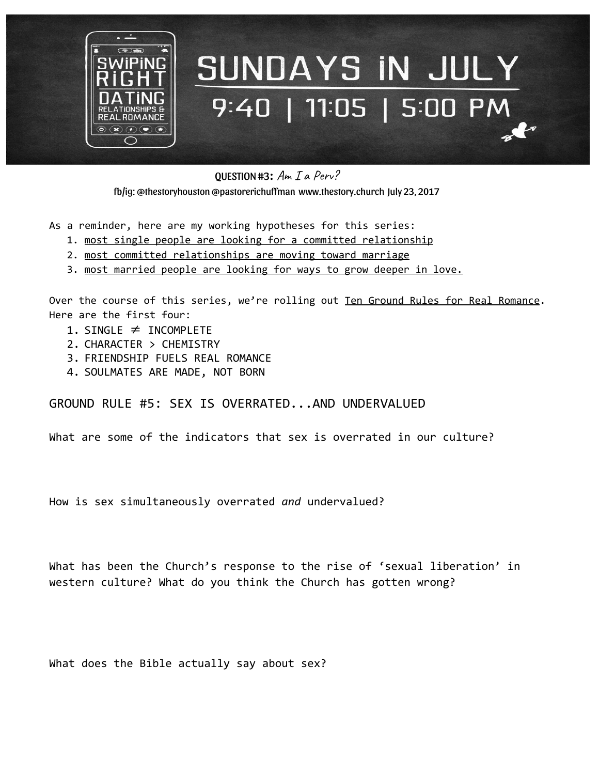

## SUNDAYS IN JULY 9:40 | 11:05 | 5:00 PM

QUESTION #3:  $Am Ia Perv?$ 

fb/ig: @thestoryhouston @pastorerichuffman [www.thestory.church](http://www.thestory.church/) July 23, 2017

As a reminder, here are my working hypotheses for this series:

- 1. most single people are looking for a committed relationship
- 2. most committed relationships are moving toward marriage
- 3. most married people are looking for ways to grow deeper in love.

Over the course of this series, we're rolling out Ten Ground Rules for Real Romance. Here are the first four:

- 1. SINGLE  $\neq$  INCOMPLETE
- 2. CHARACTER > CHEMISTRY
- 3. FRIENDSHIP FUELS REAL ROMANCE
- 4. SOULMATES ARE MADE, NOT BORN

GROUND RULE #5: SEX IS OVERRATED...AND UNDERVALUED

What are some of the indicators that sex is overrated in our culture?

How is sex simultaneously overrated *and* undervalued?

What has been the Church's response to the rise of 'sexual liberation' in western culture? What do you think the Church has gotten wrong?

What does the Bible actually say about sex?